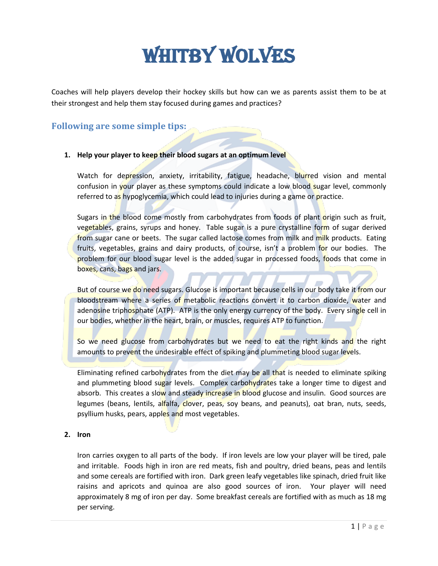# WHITBY WOLVES

Coaches will help players develop their hockey skills but how can we as parents assist them to be at their strongest and help them stay focused during games and practices?

# **Following are some simple tips:**

#### **1. Help your player to keep their blood sugars at an optimum level**

Watch for depression, anxiety, irritability, fatigue, headache, blurred vision and mental confusion in your player as these symptoms could indicate a low blood sugar level, commonly referred to as hypoglycemia, which could lead to injuries during a game or practice.

Sugars in the blood come mostly from carbohydrates from foods of plant origin such as fruit, vegetables, grains, syrups and honey. Table sugar is a pure crystalline form of sugar derived from sugar cane or beets. The sugar called lactose comes from milk and milk products. Eating fruits, vegetables, grains and dairy products, of course, isn't a problem for our bodies. The problem for our blood sugar level is the added sugar in processed foods, foods that come in boxes, cans, bags and jars.

But of course we do need sugars. Glucose is important because cells in our body take it from our bloodstream where a series of metabolic reactions convert it to carbon dioxide, water and adenosine triphosphate (ATP). ATP is the only energy currency of the body. Every single cell in our bodies, whether in the heart, brain, or muscles, requires ATP to function.

So we need glucose from carbohydrates but we need to eat the right kinds and the right amounts to prevent the undesirable effect of spiking and plummeting blood sugar levels.

Eliminating refined carbohydrates from the diet may be all that is needed to eliminate spiking and plummeting blood sugar levels. Complex carbohydrates take a longer time to digest and absorb. This creates a slow and steady increase in blood glucose and insulin. Good sources are legumes (beans, lentils, alfalfa, clover, peas, soy beans, and peanuts), oat bran, nuts, seeds, psyllium husks, pears, apples and most vegetables.

#### **2. Iron**

Iron carries oxygen to all parts of the body. If iron levels are low your player will be tired, pale and irritable. Foods high in iron are red meats, fish and poultry, dried beans, peas and lentils and some cereals are fortified with iron. Dark green leafy vegetables like spinach, dried fruit like raisins and apricots and quinoa are also good sources of iron. Your player will need approximately 8 mg of iron per day. Some breakfast cereals are fortified with as much as 18 mg per serving.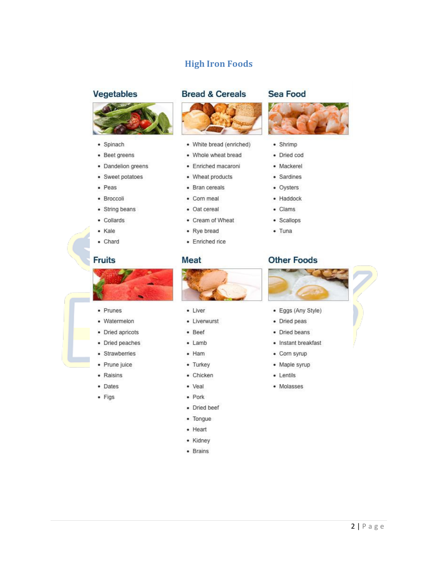# **High Iron Foods**

### **Vegetables**



- · Spinach
- Beet greens
- Dandelion greens
- Sweet potatoes
- Peas
- · Broccoli
- String beans
- Collards
- · Kale
- Chard

### **Fruits**

• Prunes

• Watermelon

• Dried apricots

· Dried peaches

• Strawberries

· Prune juice

• Raisins

• Dates

 $\bullet$  Figs







- White bread (enriched)
- · Whole wheat bread
- · Enriched macaroni
- 
- 
- 
- 
- 

### **Meat**



- Liver
- Liverwurst
- Beef
- $\bullet$  Lamb
- $-$  Ham
- Turkey
- Chicken
- · Veal
- $\bullet$  Pork
- Dried beef
- Tongue
- $\bullet$  Heart
- Kidney
- Brains

#### **Sea Food**



- Shrimp
- · Dried cod
- · Mackerel
- Sardines
- Oysters
- · Haddock
- Clams
- · Scallops
- $•$  Tuna

## **Other Foods**



- · Eggs (Any Style)
- 
- Dried beans
- Instant breakfast
- 
- Maple syrup
- Lentils
- Molasses
- Corn meal · Oat cereal
- 
- 
- 

- - Wheat products
	- Bran cereals
	- Cream of Wheat

#### • Rye bread

- · Enriched rice
- - - -
		- Dried peas
		-
		-
		- Corn syrup
		-
		-
		-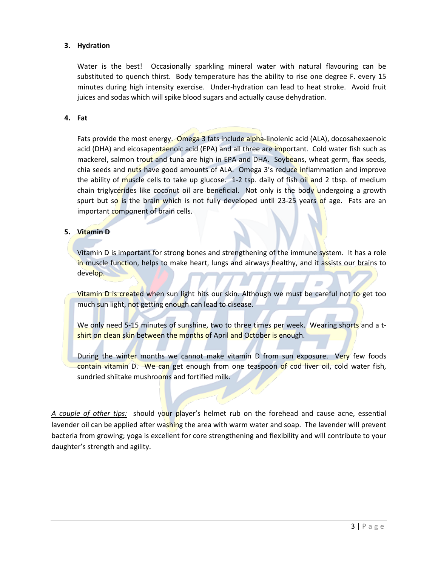#### **3. Hydration**

Water is the best! Occasionally sparkling mineral water with natural flavouring can be substituted to quench thirst. Body temperature has the ability to rise one degree F. every 15 minutes during high intensity exercise. Under-hydration can lead to heat stroke. Avoid fruit juices and sodas which will spike blood sugars and actually cause dehydration.

#### **4. Fat**

Fats provide the most energy. Omega 3 fats include alpha-linolenic acid (ALA), docosahexaenoic acid (DHA) and eicosapentaenoic acid (EPA) and all three are important. Cold water fish such as mackerel, salmon trout and tuna are high in EPA and DHA. Soybeans, wheat germ, flax seeds, chia seeds and nuts have good amounts of ALA. Omega 3's reduce inflammation and improve the ability of muscle cells to take up glucose. 1-2 tsp. daily of fish oil and 2 tbsp. of medium chain triglycerides like coconut oil are beneficial. Not only is the body undergoing a growth spurt but so is the brain which is not fully developed until 23-25 years of age. Fats are an important component of brain cells.

#### **5. Vitamin D**

Vitamin D is important for strong bones and strengthening of the immune system. It has a role in muscle function, helps to make heart, lungs and airways healthy, and it assists our brains to develop.

Vitamin D is created when sun light hits our skin. Although we must be careful not to get too much sun light, not getting enough can lead to disease.

We only need 5-15 minutes of sunshine, two to three times per week. Wearing shorts and a tshirt on clean skin between the months of April and October is enough.

During the winter months we cannot make vitamin D from sun exposure. Very few foods contain vitamin D. We can get enough from one teaspoon of cod liver oil, cold water fish, sundried shiitake mushrooms and fortified milk.

A couple of other tips: should your player's helmet rub on the forehead and cause acne, essential lavender oil can be applied after washing the area with warm water and soap. The lavender will prevent bacteria from growing; yoga is excellent for core strengthening and flexibility and will contribute to your daughter's strength and agility.